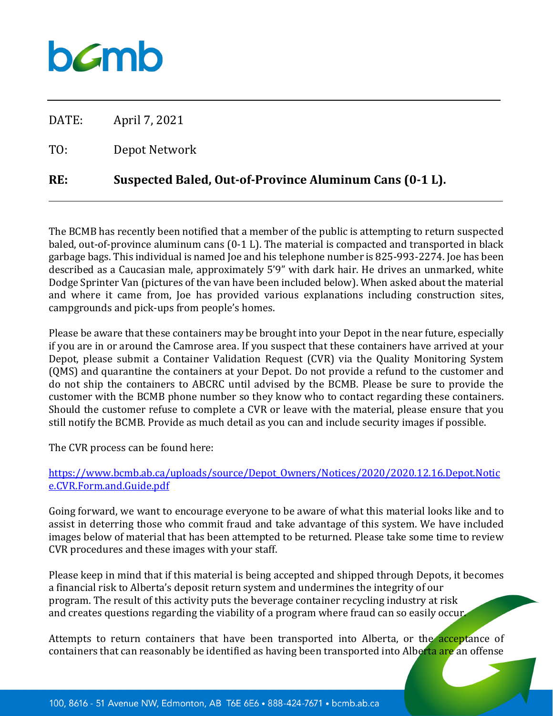## $b$ *C*mb

DATE: April 7, 2021

TO: Depot Network

## **RE: Suspected Baled, Out-of-Province Aluminum Cans (0-1 L).**

The BCMB has recently been notified that a member of the public is attempting to return suspected baled, out-of-province aluminum cans (0-1 L). The material is compacted and transported in black garbage bags. This individual is named Joe and his telephone number is 825-993-2274. Joe has been described as a Caucasian male, approximately 5'9" with dark hair. He drives an unmarked, white Dodge Sprinter Van (pictures of the van have been included below). When asked about the material and where it came from, Joe has provided various explanations including construction sites, campgrounds and pick-ups from people's homes.

Please be aware that these containers may be brought into your Depot in the near future, especially if you are in or around the Camrose area. If you suspect that these containers have arrived at your Depot, please submit a Container Validation Request (CVR) via the Quality Monitoring System (QMS) and quarantine the containers at your Depot. Do not provide a refund to the customer and do not ship the containers to ABCRC until advised by the BCMB. Please be sure to provide the customer with the BCMB phone number so they know who to contact regarding these containers. Should the customer refuse to complete a CVR or leave with the material, please ensure that you still notify the BCMB. Provide as much detail as you can and include security images if possible.

The CVR process can be found here:

## [https://www.bcmb.ab.ca/uploads/source/Depot\\_Owners/Notices/2020/2020.12.16.Depot.Notic](https://www.bcmb.ab.ca/uploads/source/Depot_Owners/Notices/2020/2020.12.16.Depot.Notice.CVR.Form.and.Guide.pdf) [e.CVR.Form.and.Guide.pdf](https://www.bcmb.ab.ca/uploads/source/Depot_Owners/Notices/2020/2020.12.16.Depot.Notice.CVR.Form.and.Guide.pdf)

Going forward, we want to encourage everyone to be aware of what this material looks like and to assist in deterring those who commit fraud and take advantage of this system. We have included images below of material that has been attempted to be returned. Please take some time to review CVR procedures and these images with your staff.

Please keep in mind that if this material is being accepted and shipped through Depots, it becomes a financial risk to Alberta's deposit return system and undermines the integrity of our program. The result of this activity puts the beverage container recycling industry at risk and creates questions regarding the viability of a program where fraud can so easily occur.

Attempts to return containers that have been transported into Alberta, or the acceptance of containers that can reasonably be identified as having been transported into Alberta are an offense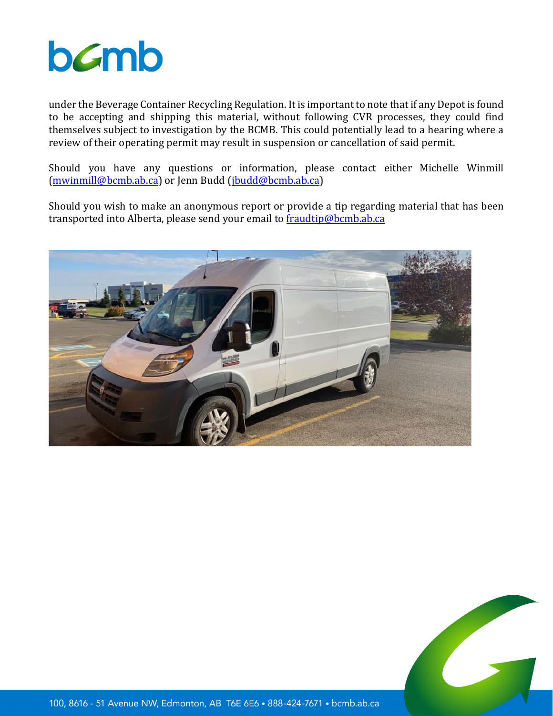

under the Beverage Container Recycling Regulation. It is important to note that if any Depot is found to be accepting and shipping this material, without following CVR processes, they could find themselves subject to investigation by the BCMB. This could potentially lead to a hearing where a review of their operating permit may result in suspension or cancellation of said permit.

Should you have any questions or information, please contact either Michelle Winmill [\(mwinmill@bcmb.ab.ca\)](mailto:mwinmill@bcmb.ab.ca) or Jenn Budd [\(jbudd@bcmb.ab.ca\)](mailto:jbudd@bcmb.ab.ca)

Should you wish to make an anonymous report or provide a tip regarding material that has been transported into Alberta, please send your email to **fraudtip@bcmb.ab.ca** 



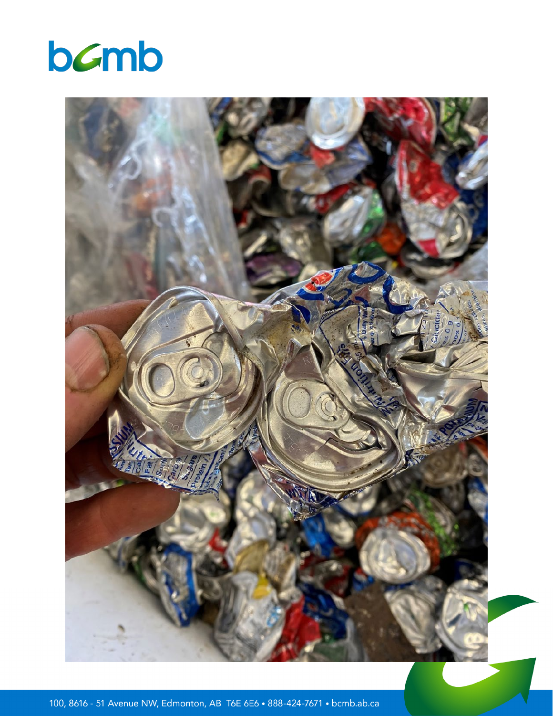



100, 8616 - 51 Avenue NW, Edmonton, AB T6E 6E6 . 888-424-7671 . bcmb.ab.ca